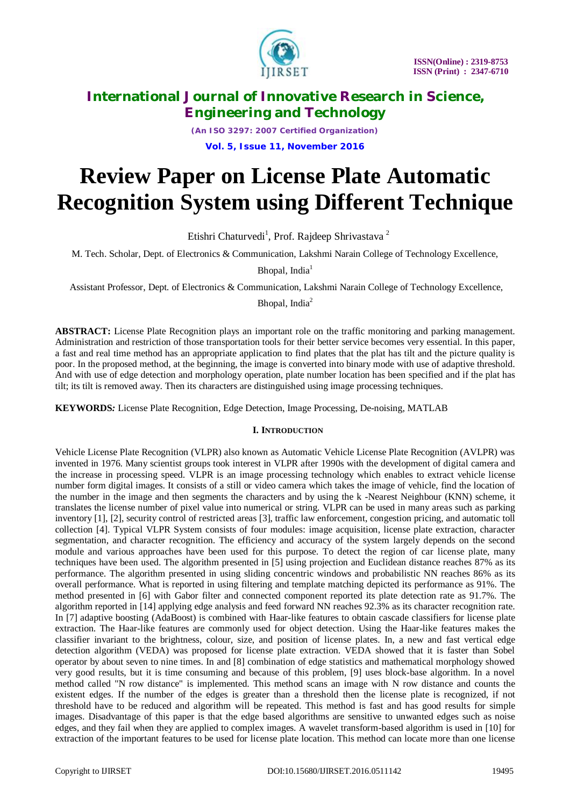

*(An ISO 3297: 2007 Certified Organization)*

**Vol. 5, Issue 11, November 2016**

# **Review Paper on License Plate Automatic Recognition System using Different Technique**

Etishri Chaturvedi<sup>1</sup>, Prof. Rajdeep Shrivastava<sup>2</sup>

M. Tech. Scholar, Dept. of Electronics & Communication, Lakshmi Narain College of Technology Excellence,

Bhopal, India $<sup>1</sup>$ </sup>

Assistant Professor, Dept. of Electronics & Communication, Lakshmi Narain College of Technology Excellence,

Bhopal, India<sup>2</sup>

**ABSTRACT:** License Plate Recognition plays an important role on the traffic monitoring and parking management. Administration and restriction of those transportation tools for their better service becomes very essential. In this paper, a fast and real time method has an appropriate application to find plates that the plat has tilt and the picture quality is poor. In the proposed method, at the beginning, the image is converted into binary mode with use of adaptive threshold. And with use of edge detection and morphology operation, plate number location has been specified and if the plat has tilt; its tilt is removed away. Then its characters are distinguished using image processing techniques.

**KEYWORDS***:* License Plate Recognition, Edge Detection, Image Processing, De-noising, MATLAB

# **I. INTRODUCTION**

Vehicle License Plate Recognition (VLPR) also known as Automatic Vehicle License Plate Recognition (AVLPR) was invented in 1976. Many scientist groups took interest in VLPR after 1990s with the development of digital camera and the increase in processing speed. VLPR is an image processing technology which enables to extract vehicle license number form digital images. It consists of a still or video camera which takes the image of vehicle, find the location of the number in the image and then segments the characters and by using the k -Nearest Neighbour (KNN) scheme, it translates the license number of pixel value into numerical or string. VLPR can be used in many areas such as parking inventory [1], [2], security control of restricted areas [3], traffic law enforcement, congestion pricing, and automatic toll collection [4]. Typical VLPR System consists of four modules: image acquisition, license plate extraction, character segmentation, and character recognition. The efficiency and accuracy of the system largely depends on the second module and various approaches have been used for this purpose. To detect the region of car license plate, many techniques have been used. The algorithm presented in [5] using projection and Euclidean distance reaches 87% as its performance. The algorithm presented in using sliding concentric windows and probabilistic NN reaches 86% as its overall performance. What is reported in using filtering and template matching depicted its performance as 91%. The method presented in [6] with Gabor filter and connected component reported its plate detection rate as 91.7%. The algorithm reported in [14] applying edge analysis and feed forward NN reaches 92.3% as its character recognition rate. In [7] adaptive boosting (AdaBoost) is combined with Haar-like features to obtain cascade classifiers for license plate extraction. The Haar-like features are commonly used for object detection. Using the Haar-like features makes the classifier invariant to the brightness, colour, size, and position of license plates. In, a new and fast vertical edge detection algorithm (VEDA) was proposed for license plate extraction. VEDA showed that it is faster than Sobel operator by about seven to nine times. In and [8] combination of edge statistics and mathematical morphology showed very good results, but it is time consuming and because of this problem, [9] uses block-base algorithm. In a novel method called "N row distance" is implemented. This method scans an image with N row distance and counts the existent edges. If the number of the edges is greater than a threshold then the license plate is recognized, if not threshold have to be reduced and algorithm will be repeated. This method is fast and has good results for simple images. Disadvantage of this paper is that the edge based algorithms are sensitive to unwanted edges such as noise edges, and they fail when they are applied to complex images. A wavelet transform-based algorithm is used in [10] for extraction of the important features to be used for license plate location. This method can locate more than one license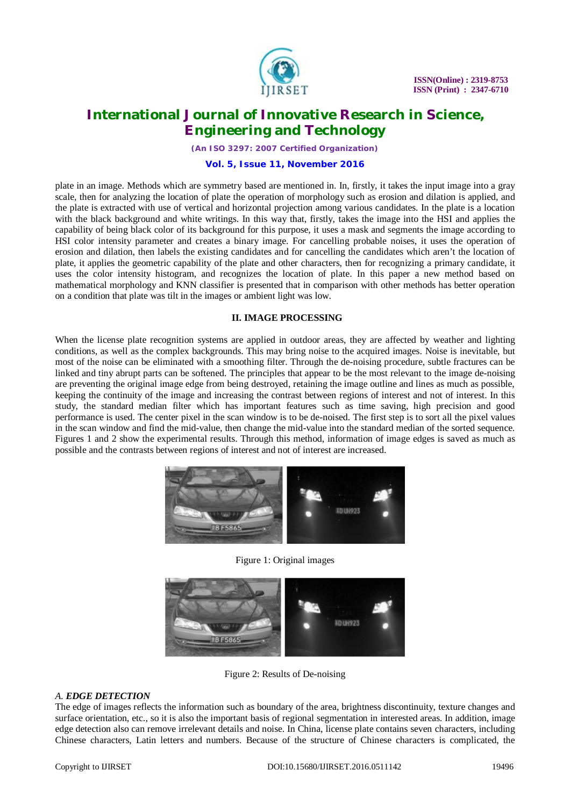

*(An ISO 3297: 2007 Certified Organization)*

#### **Vol. 5, Issue 11, November 2016**

plate in an image. Methods which are symmetry based are mentioned in. In, firstly, it takes the input image into a gray scale, then for analyzing the location of plate the operation of morphology such as erosion and dilation is applied, and the plate is extracted with use of vertical and horizontal projection among various candidates. In the plate is a location with the black background and white writings. In this way that, firstly, takes the image into the HSI and applies the capability of being black color of its background for this purpose, it uses a mask and segments the image according to HSI color intensity parameter and creates a binary image. For cancelling probable noises, it uses the operation of erosion and dilation, then labels the existing candidates and for cancelling the candidates which aren't the location of plate, it applies the geometric capability of the plate and other characters, then for recognizing a primary candidate, it uses the color intensity histogram, and recognizes the location of plate. In this paper a new method based on mathematical morphology and KNN classifier is presented that in comparison with other methods has better operation on a condition that plate was tilt in the images or ambient light was low.

## **II. IMAGE PROCESSING**

When the license plate recognition systems are applied in outdoor areas, they are affected by weather and lighting conditions, as well as the complex backgrounds. This may bring noise to the acquired images. Noise is inevitable, but most of the noise can be eliminated with a smoothing filter. Through the de-noising procedure, subtle fractures can be linked and tiny abrupt parts can be softened. The principles that appear to be the most relevant to the image de-noising are preventing the original image edge from being destroyed, retaining the image outline and lines as much as possible, keeping the continuity of the image and increasing the contrast between regions of interest and not of interest. In this study, the standard median filter which has important features such as time saving, high precision and good performance is used. The center pixel in the scan window is to be de-noised. The first step is to sort all the pixel values in the scan window and find the mid-value, then change the mid-value into the standard median of the sorted sequence. Figures 1 and 2 show the experimental results. Through this method, information of image edges is saved as much as possible and the contrasts between regions of interest and not of interest are increased.



Figure 1: Original images



Figure 2: Results of De-noising

## *A. EDGE DETECTION*

The edge of images reflects the information such as boundary of the area, brightness discontinuity, texture changes and surface orientation, etc., so it is also the important basis of regional segmentation in interested areas. In addition, image edge detection also can remove irrelevant details and noise. In China, license plate contains seven characters, including Chinese characters, Latin letters and numbers. Because of the structure of Chinese characters is complicated, the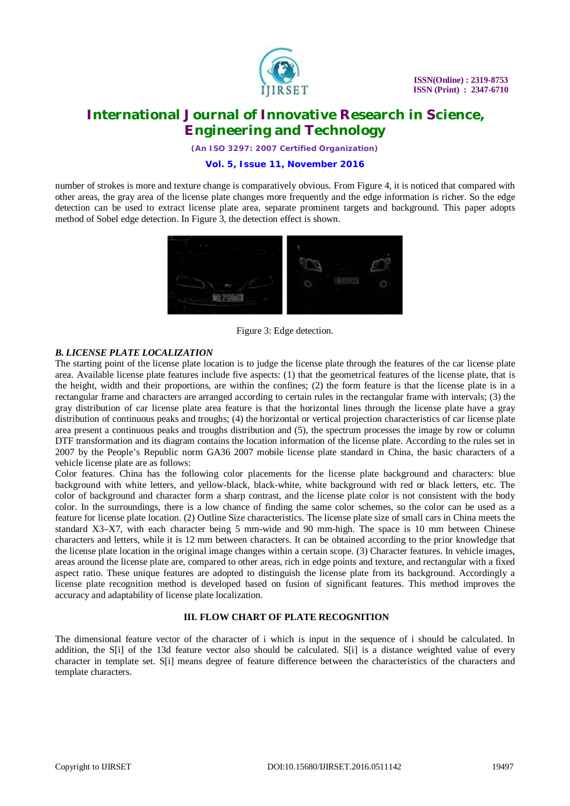

*(An ISO 3297: 2007 Certified Organization)*

#### **Vol. 5, Issue 11, November 2016**

number of strokes is more and texture change is comparatively obvious. From Figure 4, it is noticed that compared with other areas, the gray area of the license plate changes more frequently and the edge information is richer. So the edge detection can be used to extract license plate area, separate prominent targets and background. This paper adopts method of Sobel edge detection. In Figure 3, the detection effect is shown.



Figure 3: Edge detection.

## *B. LICENSE PLATE LOCALIZATION*

The starting point of the license plate location is to judge the license plate through the features of the car license plate area. Available license plate features include five aspects: (1) that the geometrical features of the license plate, that is the height, width and their proportions, are within the confines; (2) the form feature is that the license plate is in a rectangular frame and characters are arranged according to certain rules in the rectangular frame with intervals; (3) the gray distribution of car license plate area feature is that the horizontal lines through the license plate have a gray distribution of continuous peaks and troughs; (4) the horizontal or vertical projection characteristics of car license plate area present a continuous peaks and troughs distribution and (5), the spectrum processes the image by row or column DTF transformation and its diagram contains the location information of the license plate. According to the rules set in 2007 by the People's Republic norm GA36 2007 mobile license plate standard in China, the basic characters of a vehicle license plate are as follows:

Color features. China has the following color placements for the license plate background and characters: blue background with white letters, and yellow-black, black-white, white background with red or black letters, etc. The color of background and character form a sharp contrast, and the license plate color is not consistent with the body color. In the surroundings, there is a low chance of finding the same color schemes, so the color can be used as a feature for license plate location. (2) Outline Size characteristics. The license plate size of small cars in China meets the standard X3–X7, with each character being 5 mm-wide and 90 mm-high. The space is 10 mm between Chinese characters and letters, while it is 12 mm between characters. It can be obtained according to the prior knowledge that the license plate location in the original image changes within a certain scope. (3) Character features. In vehicle images, areas around the license plate are, compared to other areas, rich in edge points and texture, and rectangular with a fixed aspect ratio. These unique features are adopted to distinguish the license plate from its background. Accordingly a license plate recognition method is developed based on fusion of significant features. This method improves the accuracy and adaptability of license plate localization.

# **III. FLOW CHART OF PLATE RECOGNITION**

The dimensional feature vector of the character of i which is input in the sequence of i should be calculated. In addition, the S[i] of the 13d feature vector also should be calculated. S[i] is a distance weighted value of every character in template set. S[i] means degree of feature difference between the characteristics of the characters and template characters.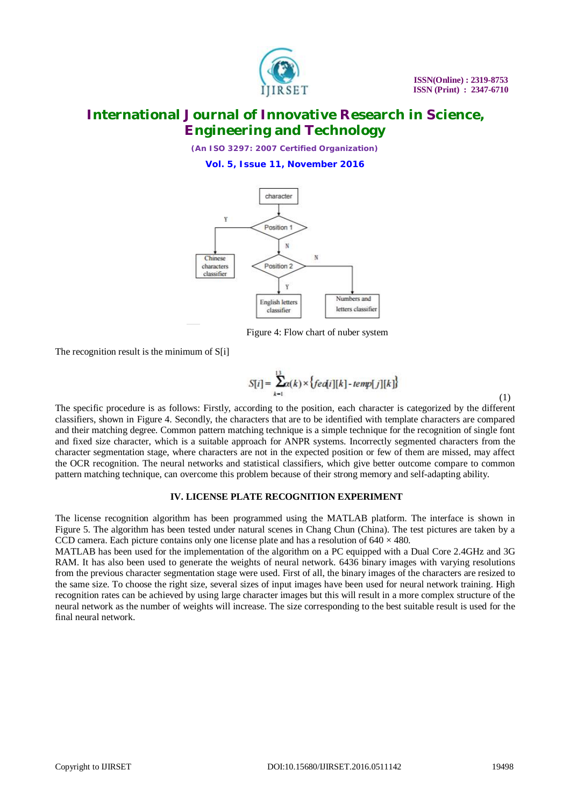

*(An ISO 3297: 2007 Certified Organization)* **Vol. 5, Issue 11, November 2016**



Figure 4: Flow chart of nuber system

The recognition result is the minimum of S[i]

$$
S[i] = \sum_{k=1}^{13} \alpha(k) \times \{ fed[i][k] - temp[j][k] \}
$$
 (1)

The specific procedure is as follows: Firstly, according to the position, each character is categorized by the different classifiers, shown in Figure 4. Secondly, the characters that are to be identified with template characters are compared and their matching degree. Common pattern matching technique is a simple technique for the recognition of single font and fixed size character, which is a suitable approach for ANPR systems. Incorrectly segmented characters from the character segmentation stage, where characters are not in the expected position or few of them are missed, may affect the OCR recognition. The neural networks and statistical classifiers, which give better outcome compare to common pattern matching technique, can overcome this problem because of their strong memory and self-adapting ability.

## **IV. LICENSE PLATE RECOGNITION EXPERIMENT**

The license recognition algorithm has been programmed using the MATLAB platform. The interface is shown in Figure 5. The algorithm has been tested under natural scenes in Chang Chun (China). The test pictures are taken by a CCD camera. Each picture contains only one license plate and has a resolution of  $640 \times 480$ .

MATLAB has been used for the implementation of the algorithm on a PC equipped with a Dual Core 2.4GHz and 3G RAM. It has also been used to generate the weights of neural network. 6436 binary images with varying resolutions from the previous character segmentation stage were used. First of all, the binary images of the characters are resized to the same size. To choose the right size, several sizes of input images have been used for neural network training. High recognition rates can be achieved by using large character images but this will result in a more complex structure of the neural network as the number of weights will increase. The size corresponding to the best suitable result is used for the final neural network.